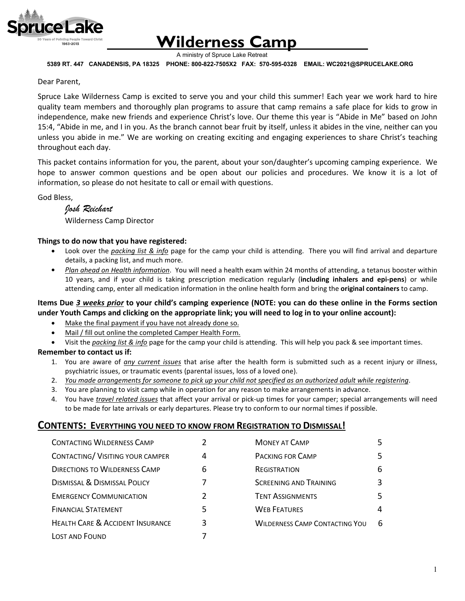

# **Wilderness Camp**

A ministry of Spruce Lake Retreat

 **5389 RT. 447 CANADENSIS, PA 18325 PHONE: 800-822-7505X2 FAX: 570-595-0328 EMAIL: WC2021@SPRUCELAKE.ORG**

#### Dear Parent,

Spruce Lake Wilderness Camp is excited to serve you and your child this summer! Each year we work hard to hire quality team members and thoroughly plan programs to assure that camp remains a safe place for kids to grow in independence, make new friends and experience Christ's love. Our theme this year is "Abide in Me" based on John 15:4, "Abide in me, and I in you. As the branch cannot bear fruit by itself, unless it abides in the vine, neither can you unless you abide in me." We are working on creating exciting and engaging experiences to share Christ's teaching throughout each day.

This packet contains information for you, the parent, about your son/daughter's upcoming camping experience.We hope to answer common questions and be open about our policies and procedures. We know it is a lot of information, so please do not hesitate to call or email with questions.

God Bless,

*Josh Reichart* Wilderness Camp Director

#### **Things to do now that you have registered:**

- Look over the *packing list & info* page for the camp your child is attending. There you will find arrival and departure details, a packing list, and much more.
- *Plan ahead on Health information*. You will need a health exam within 24 months of attending, a tetanus booster within 10 years, and if your child is taking prescription medication regularly (**including inhalers and epi-pens**) or while attending camp, enter all medication information in the online health form and bring the **original containers** to camp.

#### **Items Due** *3 weeks prior* **to your child's camping experience (NOTE: you can do these online in the Forms section under Youth Camps and clicking on the appropriate link; you will need to log in to your online account):**

- Make the final payment if you have not already done so.
- Mail / fill out online the completed Camper Health Form.
- Visit the *packing list & info* page for the camp your child is attending. This will help you pack & see important times.

#### **Remember to contact us if:**

- 1. You are aware of *any current issues* that arise after the health form is submitted such as a recent injury or illness, psychiatric issues, or traumatic events (parental issues, loss of a loved one).
- 2. *You made arrangements for someone to pick up your child not specified as an authorized adult while registering*.
- 3. You are planning to visit camp while in operation for any reason to make arrangements in advance.
- 4. You have *travel related issues* that affect your arrival or pick-up times for your camper; special arrangements will need to be made for late arrivals or early departures. Please try to conform to our normal times if possible.

#### **CONTENTS: EVERYTHING YOU NEED TO KNOW FROM REGISTRATION TO DISMISSAL!**

| <b>CONTACTING WILDERNESS CAMP</b>           |   | <b>MONEY AT CAMP</b>                  | 5 |
|---------------------------------------------|---|---------------------------------------|---|
| CONTACTING/ VISITING YOUR CAMPER            | 4 | <b>PACKING FOR CAMP</b>               | 5 |
| <b>DIRECTIONS TO WILDERNESS CAMP</b>        | 6 | REGISTRATION                          | 6 |
| <b>DISMISSAL &amp; DISMISSAL POLICY</b>     | 7 | <b>SCREENING AND TRAINING</b>         | 3 |
| <b>EMERGENCY COMMUNICATION</b>              |   | <b>TENT ASSIGNMENTS</b>               | 5 |
| <b>FINANCIAL STATEMENT</b>                  | 5 | <b>WEB FEATURES</b>                   | 4 |
| <b>HEALTH CARE &amp; ACCIDENT INSURANCE</b> | 3 | <b>WILDERNESS CAMP CONTACTING YOU</b> | 6 |
| <b>LOST AND FOUND</b>                       |   |                                       |   |
|                                             |   |                                       |   |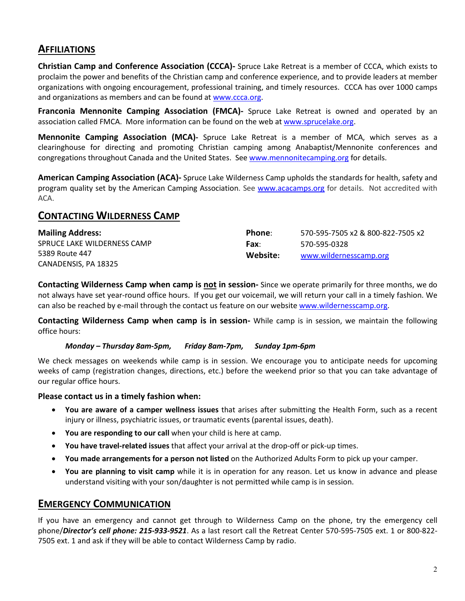### **AFFILIATIONS**

**Christian Camp and Conference Association (CCCA)-** Spruce Lake Retreat is a member of CCCA, which exists to proclaim the power and benefits of the Christian camp and conference experience, and to provide leaders at member organizations with ongoing encouragement, professional training, and timely resources. CCCA has over 1000 camps and organizations as members and can be found a[t www.ccca.org.](http://www.ccca.org/)

**Franconia Mennonite Camping Association (FMCA)-** Spruce Lake Retreat is owned and operated by an association called FMCA. More information can be found on the web a[t www.sprucelake.org.](http://www.sprucelake.org/)

**Mennonite Camping Association (MCA)-** Spruce Lake Retreat is a member of MCA, which serves as a clearinghouse for directing and promoting Christian camping among Anabaptist/Mennonite conferences and congregations throughout Canada and the United States. See [www.mennonitecamping.org](http://www.mennonitecamping.org/) for details.

**American Camping Association (ACA)-** Spruce Lake Wilderness Camp upholds the standards for health, safety and program quality set by the American Camping Association. See [www.acacamps.org](http://www.acacamps.org/) for details. Not accredited with ACA.

### **CONTACTING WILDERNESS CAMP**

| <b>Mailing Address:</b>     | Phone:   | 570-595-7505 x2 & 800-822-7505 x2 |
|-----------------------------|----------|-----------------------------------|
| SPRUCE LAKE WILDERNESS CAMP | Fax:     | 570-595-0328                      |
| 5389 Route 447              | Website: | www.wildernesscamp.org            |
| CANADENSIS, PA 18325        |          |                                   |

**Contacting Wilderness Camp when camp is not in session-** Since we operate primarily for three months, we do not always have set year-round office hours. If you get our voicemail, we will return your call in a timely fashion. We can also be reached by e-mail through the contact us feature on our website [www.wildernesscamp.org.](http://www.wildernesscamp.org/) 

**Contacting Wilderness Camp when camp is in session-** While camp is in session, we maintain the following office hours:

#### *Monday – Thursday 8am-5pm, Friday 8am-7pm, Sunday 1pm-6pm*

We check messages on weekends while camp is in session. We encourage you to anticipate needs for upcoming weeks of camp (registration changes, directions, etc.) before the weekend prior so that you can take advantage of our regular office hours.

#### **Please contact us in a timely fashion when:**

- **You are aware of a camper wellness issues** that arises after submitting the Health Form, such as a recent injury or illness, psychiatric issues, or traumatic events (parental issues, death).
- **You are responding to our call** when your child is here at camp.
- **You have travel-related issues** that affect your arrival at the drop-off or pick-up times.
- **You made arrangements for a person not listed** on the Authorized Adults Form to pick up your camper.
- **You are planning to visit camp** while it is in operation for any reason. Let us know in advance and please understand visiting with your son/daughter is not permitted while camp is in session.

#### **EMERGENCY COMMUNICATION**

If you have an emergency and cannot get through to Wilderness Camp on the phone, try the emergency cell phone/*Director's cell phone: 215-933-9521*. As a last resort call the Retreat Center 570-595-7505 ext. 1 or 800-822- 7505 ext. 1 and ask if they will be able to contact Wilderness Camp by radio.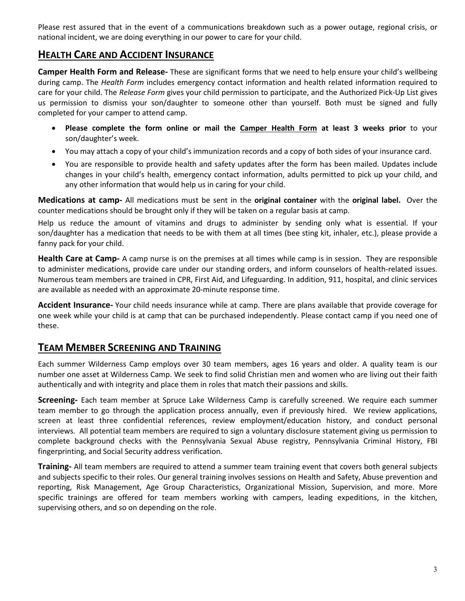Please rest assured that in the event of a communications breakdown such as a power outage, regional crisis, or national incident, we are doing everything in our power to care for your child.

### **HEALTH CARE AND ACCIDENT INSURANCE**

**Camper Health Form and Release-** These are significant forms that we need to help ensure your child's wellbeing during camp. The *Health Form* includes emergency contact information and health related information required to care for your child. The *Release Form* gives your child permission to participate, and the Authorized Pick-Up List gives us permission to dismiss your son/daughter to someone other than yourself. Both must be signed and fully completed for your camper to attend camp.

- **Please complete the form online or mail the Camper Health Form at least 3 weeks prior** to your son/daughter's week.
- You may attach a copy of your child's immunization records and a copy of both sides of your insurance card.
- You are responsible to provide health and safety updates after the form has been mailed. Updates include changes in your child's health, emergency contact information, adults permitted to pick up your child, and any other information that would help us in caring for your child.

**Medications at camp-** All medications must be sent in the **original container** with the **original label.** Over the counter medications should be brought only if they will be taken on a regular basis at camp.

Help us reduce the amount of vitamins and drugs to administer by sending only what is essential. If your son/daughter has a medication that needs to be with them at all times (bee sting kit, inhaler, etc.), please provide a fanny pack for your child.

**Health Care at Camp-** A camp nurse is on the premises at all times while camp is in session. They are responsible to administer medications, provide care under our standing orders, and inform counselors of health-related issues. Numerous team members are trained in CPR, First Aid, and Lifeguarding. In addition, 911, hospital, and clinic services are available as needed with an approximate 20-minute response time.

**Accident Insurance-** Your child needs insurance while at camp. There are plans available that provide coverage for one week while your child is at camp that can be purchased independently. Please contact camp if you need one of these.

### **TEAM MEMBER SCREENING AND TRAINING**

Each summer Wilderness Camp employs over 30 team members, ages 16 years and older. A quality team is our number one asset at Wilderness Camp. We seek to find solid Christian men and women who are living out their faith authentically and with integrity and place them in roles that match their passions and skills.

**Screening-** Each team member at Spruce Lake Wilderness Camp is carefully screened. We require each summer team member to go through the application process annually, even if previously hired. We review applications, screen at least three confidential references, review employment/education history, and conduct personal interviews. All potential team members are required to sign a voluntary disclosure statement giving us permission to complete background checks with the Pennsylvania Sexual Abuse registry, Pennsylvania Criminal History, FBI fingerprinting, and Social Security address verification.

**Training-** All team members are required to attend a summer team training event that covers both general subjects and subjects specific to their roles. Our general training involves sessions on Health and Safety, Abuse prevention and reporting, Risk Management, Age Group Characteristics, Organizational Mission, Supervision, and more. More specific trainings are offered for team members working with campers, leading expeditions, in the kitchen, supervising others, and so on depending on the role.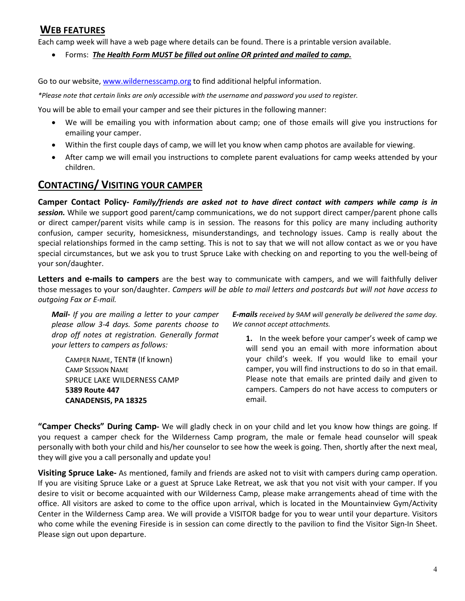### **WEB FEATURES**

Each camp week will have a web page where details can be found. There is a printable version available.

• Forms: *The Health Form MUST be filled out online OR printed and mailed to camp.*

Go to our website[, www.wildernesscamp.org](http://www.wildernesscamp.org/) to find additional helpful information.

*\*Please note that certain links are only accessible with the username and password you used to register.*

You will be able to email your camper and see their pictures in the following manner:

- We will be emailing you with information about camp; one of those emails will give you instructions for emailing your camper.
- Within the first couple days of camp, we will let you know when camp photos are available for viewing.
- After camp we will email you instructions to complete parent evaluations for camp weeks attended by your children.

# **CONTACTING/ VISITING YOUR CAMPER**

**Camper Contact Policy-** *Family/friends are asked not to have direct contact with campers while camp is in session.* While we support good parent/camp communications, we do not support direct camper/parent phone calls or direct camper/parent visits while camp is in session. The reasons for this policy are many including authority confusion, camper security, homesickness, misunderstandings, and technology issues. Camp is really about the special relationships formed in the camp setting. This is not to say that we will not allow contact as we or you have special circumstances, but we ask you to trust Spruce Lake with checking on and reporting to you the well-being of your son/daughter.

**Letters and e-mails to campers** are the best way to communicate with campers, and we will faithfully deliver those messages to your son/daughter. *Campers will be able to mail letters and postcards but will not have access to outgoing Fax or E-mail.*

*Mail- If you are mailing a letter to your camper please allow 3-4 days. Some parents choose to drop off notes at registration. Generally format your letters to campers as follows:*

CAMPER NAME, TENT# (If known) CAMP SESSION NAME SPRUCE LAKE WILDERNESS CAMP **5389 Route 447 CANADENSIS, PA 18325**

*E-mails received by 9AM will generally be delivered the same day. We cannot accept attachments.* 

**1.** In the week before your camper's week of camp we will send you an email with more information about your child's week. If you would like to email your camper, you will find instructions to do so in that email. Please note that emails are printed daily and given to campers. Campers do not have access to computers or email.

**"Camper Checks" During Camp-** We will gladly check in on your child and let you know how things are going. If you request a camper check for the Wilderness Camp program, the male or female head counselor will speak personally with both your child and his/her counselor to see how the week is going. Then, shortly after the next meal, they will give you a call personally and update you!

**Visiting Spruce Lake-** As mentioned, family and friends are asked not to visit with campers during camp operation. If you are visiting Spruce Lake or a guest at Spruce Lake Retreat, we ask that you not visit with your camper. If you desire to visit or become acquainted with our Wilderness Camp, please make arrangements ahead of time with the office. All visitors are asked to come to the office upon arrival, which is located in the Mountainview Gym/Activity Center in the Wilderness Camp area. We will provide a VISITOR badge for you to wear until your departure. Visitors who come while the evening Fireside is in session can come directly to the pavilion to find the Visitor Sign-In Sheet. Please sign out upon departure.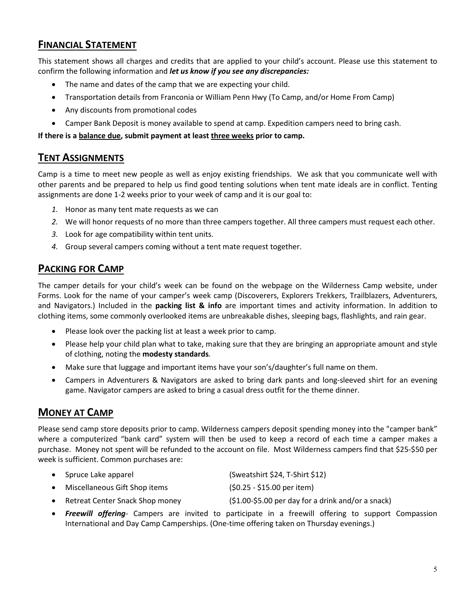# **FINANCIAL STATEMENT**

This statement shows all charges and credits that are applied to your child's account. Please use this statement to confirm the following information and *let us know if you see any discrepancies:*

- The name and dates of the camp that we are expecting your child.
- Transportation details from Franconia or William Penn Hwy (To Camp, and/or Home From Camp)
- Any discounts from promotional codes
- Camper Bank Deposit is money available to spend at camp. Expedition campers need to bring cash.

**If there is a balance due, submit payment at least three weeks prior to camp.**

### **TENT ASSIGNMENTS**

Camp is a time to meet new people as well as enjoy existing friendships. We ask that you communicate well with other parents and be prepared to help us find good tenting solutions when tent mate ideals are in conflict. Tenting assignments are done 1-2 weeks prior to your week of camp and it is our goal to:

- *1.* Honor as many tent mate requests as we can
- *2.* We will honor requests of no more than three campers together. All three campers must request each other.
- *3.* Look for age compatibility within tent units.
- *4.* Group several campers coming without a tent mate request together.

### **PACKING FOR CAMP**

The camper details for your child's week can be found on the webpage on the Wilderness Camp website, under Forms. Look for the name of your camper's week camp (Discoverers, Explorers Trekkers, Trailblazers, Adventurers, and Navigators.) Included in the **packing list & info** are important times and activity information. In addition to clothing items, some commonly overlooked items are unbreakable dishes, sleeping bags, flashlights, and rain gear.

- Please look over the packing list at least a week prior to camp.
- Please help your child plan what to take, making sure that they are bringing an appropriate amount and style of clothing, noting the **modesty standards***.*
- Make sure that luggage and important items have your son's/daughter's full name on them.
- Campers in Adventurers & Navigators are asked to bring dark pants and long-sleeved shirt for an evening game. Navigator campers are asked to bring a casual dress outfit for the theme dinner.

# **MONEY AT CAMP**

Please send camp store deposits prior to camp. Wilderness campers deposit spending money into the "camper bank" where a computerized "bank card" system will then be used to keep a record of each time a camper makes a purchase. Money not spent will be refunded to the account on file. Most Wilderness campers find that \$25-\$50 per week is sufficient. Common purchases are:

- Spruce Lake apparel (Sweatshirt \$24, T-Shirt \$12)
- Miscellaneous Gift Shop items (\$0.25 \$15.00 per item)
- Retreat Center Snack Shop money (\$1.00-\$5.00 per day for a drink and/or a snack)
- *Freewill offering* Campers are invited to participate in a freewill offering to support Compassion International and Day Camp Camperships. (One-time offering taken on Thursday evenings.)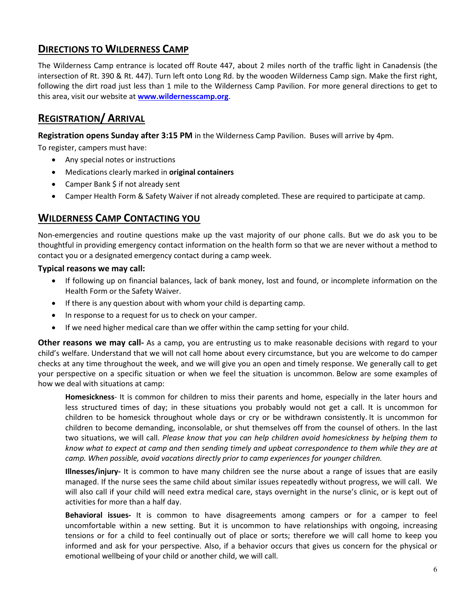# **DIRECTIONS TO WILDERNESS CAMP**

The Wilderness Camp entrance is located off Route 447, about 2 miles north of the traffic light in Canadensis (the intersection of Rt. 390 & Rt. 447). Turn left onto Long Rd. by the wooden Wilderness Camp sign. Make the first right, following the dirt road just less than 1 mile to the Wilderness Camp Pavilion. For more general directions to get to this area, visit our website at **[www.wildernesscamp.org](http://www.wildernesscamp.org/)**.

# **REGISTRATION/ ARRIVAL**

**Registration opens Sunday after 3:15 PM** in the Wilderness Camp Pavilion. Buses will arrive by 4pm.

To register, campers must have:

- Any special notes or instructions
- Medications clearly marked in **original containers**
- Camper Bank \$ if not already sent
- Camper Health Form & Safety Waiver if not already completed. These are required to participate at camp.

#### **WILDERNESS CAMP CONTACTING YOU**

Non-emergencies and routine questions make up the vast majority of our phone calls. But we do ask you to be thoughtful in providing emergency contact information on the health form so that we are never without a method to contact you or a designated emergency contact during a camp week.

#### **Typical reasons we may call:**

- If following up on financial balances, lack of bank money, lost and found, or incomplete information on the Health Form or the Safety Waiver.
- If there is any question about with whom your child is departing camp.
- In response to a request for us to check on your camper.
- If we need higher medical care than we offer within the camp setting for your child.

**Other reasons we may call-** As a camp, you are entrusting us to make reasonable decisions with regard to your child's welfare. Understand that we will not call home about every circumstance, but you are welcome to do camper checks at any time throughout the week, and we will give you an open and timely response. We generally call to get your perspective on a specific situation or when we feel the situation is uncommon. Below are some examples of how we deal with situations at camp:

**Homesickness**- It is common for children to miss their parents and home, especially in the later hours and less structured times of day; in these situations you probably would not get a call. It is uncommon for children to be homesick throughout whole days or cry or be withdrawn consistently. It is uncommon for children to become demanding, inconsolable, or shut themselves off from the counsel of others. In the last two situations, we will call. *Please know that you can help children avoid homesickness by helping them to know what to expect at camp and then sending timely and upbeat correspondence to them while they are at camp. When possible, avoid vacations directly prior to camp experiences for younger children.*

**Illnesses/injury-** It is common to have many children see the nurse about a range of issues that are easily managed. If the nurse sees the same child about similar issues repeatedly without progress, we will call. We will also call if your child will need extra medical care, stays overnight in the nurse's clinic, or is kept out of activities for more than a half day.

**Behavioral issues-** It is common to have disagreements among campers or for a camper to feel uncomfortable within a new setting. But it is uncommon to have relationships with ongoing, increasing tensions or for a child to feel continually out of place or sorts; therefore we will call home to keep you informed and ask for your perspective. Also, if a behavior occurs that gives us concern for the physical or emotional wellbeing of your child or another child, we will call.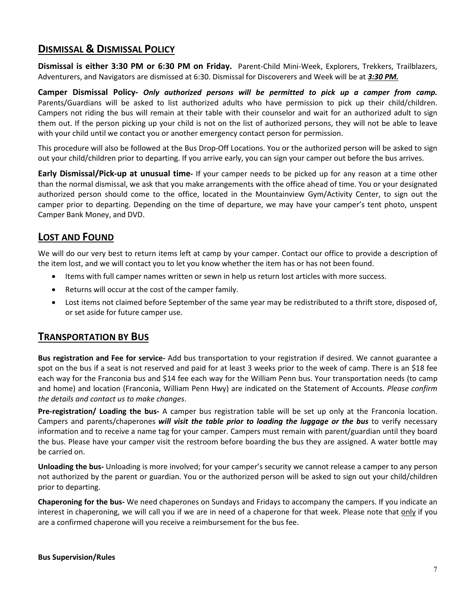### **DISMISSAL & DISMISSAL POLICY**

**Dismissal is either 3:30 PM or 6:30 PM on Friday.** Parent-Child Mini-Week, Explorers, Trekkers, Trailblazers, Adventurers, and Navigators are dismissed at 6:30. Dismissal for Discoverers and Week will be at *3:30 PM.*

**Camper Dismissal Policy-** *Only authorized persons will be permitted to pick up a camper from camp.* Parents/Guardians will be asked to list authorized adults who have permission to pick up their child/children. Campers not riding the bus will remain at their table with their counselor and wait for an authorized adult to sign them out. If the person picking up your child is not on the list of authorized persons, they will not be able to leave with your child until we contact you or another emergency contact person for permission.

This procedure will also be followed at the Bus Drop-Off Locations. You or the authorized person will be asked to sign out your child/children prior to departing. If you arrive early, you can sign your camper out before the bus arrives.

**Early Dismissal/Pick-up at unusual time-** If your camper needs to be picked up for any reason at a time other than the normal dismissal, we ask that you make arrangements with the office ahead of time. You or your designated authorized person should come to the office, located in the Mountainview Gym/Activity Center, to sign out the camper prior to departing. Depending on the time of departure, we may have your camper's tent photo, unspent Camper Bank Money, and DVD.

### **LOST AND FOUND**

We will do our very best to return items left at camp by your camper. Contact our office to provide a description of the item lost, and we will contact you to let you know whether the item has or has not been found.

- Items with full camper names written or sewn in help us return lost articles with more success.
- Returns will occur at the cost of the camper family.
- Lost items not claimed before September of the same year may be redistributed to a thrift store, disposed of, or set aside for future camper use.

#### **TRANSPORTATION BY BUS**

**Bus registration and Fee for service-** Add bus transportation to your registration if desired. We cannot guarantee a spot on the bus if a seat is not reserved and paid for at least 3 weeks prior to the week of camp. There is an \$18 fee each way for the Franconia bus and \$14 fee each way for the William Penn bus. Your transportation needs (to camp and home) and location (Franconia, William Penn Hwy) are indicated on the Statement of Accounts. *Please confirm the details and contact us to make changes*.

**Pre-registration/ Loading the bus-** A camper bus registration table will be set up only at the Franconia location. Campers and parents/chaperones *will visit the table prior to loading the luggage or the bus* to verify necessary information and to receive a name tag for your camper. Campers must remain with parent/guardian until they board the bus. Please have your camper visit the restroom before boarding the bus they are assigned. A water bottle may be carried on.

**Unloading the bus-** Unloading is more involved; for your camper's security we cannot release a camper to any person not authorized by the parent or guardian. You or the authorized person will be asked to sign out your child/children prior to departing.

**Chaperoning for the bus-** We need chaperones on Sundays and Fridays to accompany the campers. If you indicate an interest in chaperoning, we will call you if we are in need of a chaperone for that week. Please note that only if you are a confirmed chaperone will you receive a reimbursement for the bus fee.